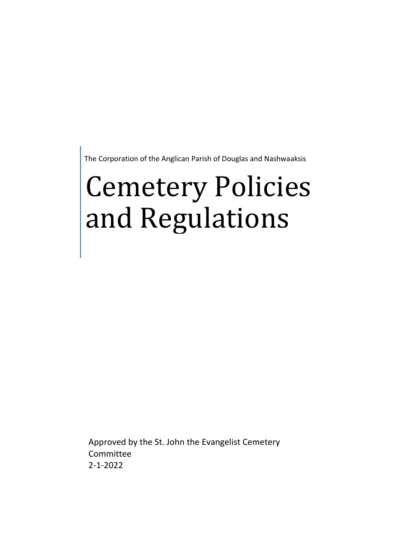The Corporation of the Anglican Parish of Douglas and Nashwaaksis

# Cemetery Policies and Regulations

Approved by the St. John the Evangelist Cemetery Committee 2-1-2022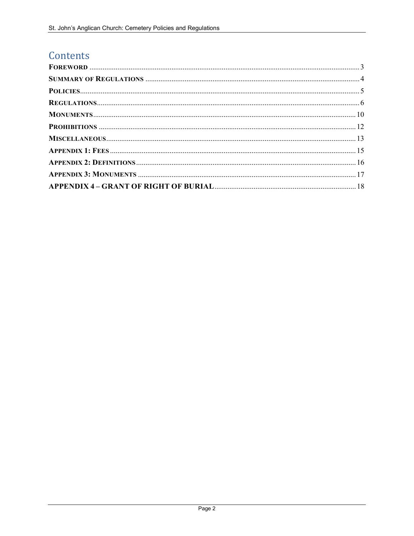# Contents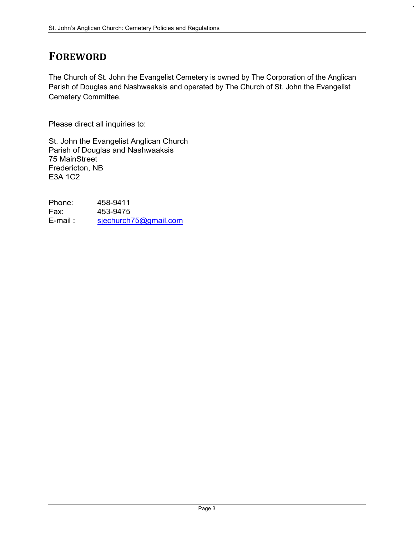# FOREWORD

The Church of St. John the Evangelist Cemetery is owned by The Corporation of the Anglican Parish of Douglas and Nashwaaksis and operated by The Church of St. John the Evangelist Cemetery Committee.

Please direct all inquiries to:

St. John the Evangelist Anglican Church Parish of Douglas and Nashwaaksis 75 MainStreet Fredericton, NB E3A 1C2

Phone: 458-9411 Fax: 453-9475 E-mail : sjechurch75@gmail.com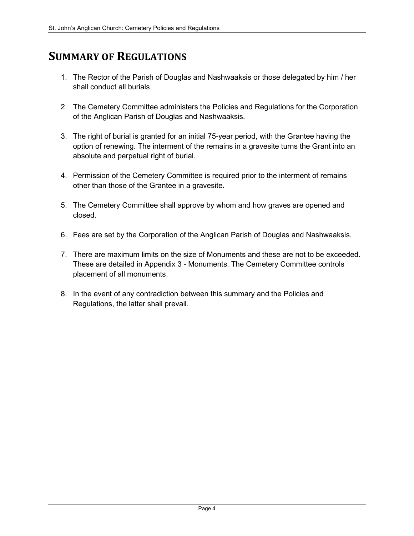## SUMMARY OF REGULATIONS

- 1. The Rector of the Parish of Douglas and Nashwaaksis or those delegated by him / her shall conduct all burials.
- 2. The Cemetery Committee administers the Policies and Regulations for the Corporation of the Anglican Parish of Douglas and Nashwaaksis.
- 3. The right of burial is granted for an initial 75-year period, with the Grantee having the option of renewing. The interment of the remains in a gravesite turns the Grant into an absolute and perpetual right of burial.
- 4. Permission of the Cemetery Committee is required prior to the interment of remains other than those of the Grantee in a gravesite.
- 5. The Cemetery Committee shall approve by whom and how graves are opened and closed.
- 6. Fees are set by the Corporation of the Anglican Parish of Douglas and Nashwaaksis.
- 7. There are maximum limits on the size of Monuments and these are not to be exceeded. These are detailed in Appendix 3 - Monuments. The Cemetery Committee controls placement of all monuments.
- 8. In the event of any contradiction between this summary and the Policies and Regulations, the latter shall prevail.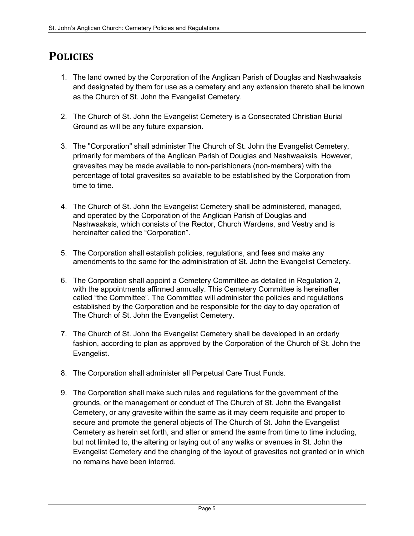## **POLICIES**

- 1. The land owned by the Corporation of the Anglican Parish of Douglas and Nashwaaksis and designated by them for use as a cemetery and any extension thereto shall be known as the Church of St. John the Evangelist Cemetery.
- 2. The Church of St. John the Evangelist Cemetery is a Consecrated Christian Burial Ground as will be any future expansion.
- 3. The "Corporation" shall administer The Church of St. John the Evangelist Cemetery, primarily for members of the Anglican Parish of Douglas and Nashwaaksis. However, gravesites may be made available to non-parishioners (non-members) with the percentage of total gravesites so available to be established by the Corporation from time to time.
- 4. The Church of St. John the Evangelist Cemetery shall be administered, managed, and operated by the Corporation of the Anglican Parish of Douglas and Nashwaaksis, which consists of the Rector, Church Wardens, and Vestry and is hereinafter called the "Corporation".
- 5. The Corporation shall establish policies, regulations, and fees and make any amendments to the same for the administration of St. John the Evangelist Cemetery.
- 6. The Corporation shall appoint a Cemetery Committee as detailed in Regulation 2, with the appointments affirmed annually. This Cemetery Committee is hereinafter called "the Committee". The Committee will administer the policies and regulations established by the Corporation and be responsible for the day to day operation of The Church of St. John the Evangelist Cemetery.
- 7. The Church of St. John the Evangelist Cemetery shall be developed in an orderly fashion, according to plan as approved by the Corporation of the Church of St. John the Evangelist.
- 8. The Corporation shall administer all Perpetual Care Trust Funds.
- 9. The Corporation shall make such rules and regulations for the government of the grounds, or the management or conduct of The Church of St. John the Evangelist Cemetery, or any gravesite within the same as it may deem requisite and proper to secure and promote the general objects of The Church of St. John the Evangelist Cemetery as herein set forth, and alter or amend the same from time to time including, but not limited to, the altering or laying out of any walks or avenues in St. John the Evangelist Cemetery and the changing of the layout of gravesites not granted or in which no remains have been interred.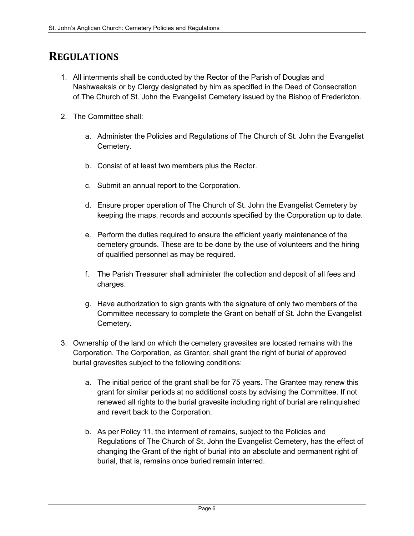## **REGULATIONS**

- 1. All interments shall be conducted by the Rector of the Parish of Douglas and Nashwaaksis or by Clergy designated by him as specified in the Deed of Consecration of The Church of St. John the Evangelist Cemetery issued by the Bishop of Fredericton.
- 2. The Committee shall:
	- a. Administer the Policies and Regulations of The Church of St. John the Evangelist Cemetery.
	- b. Consist of at least two members plus the Rector.
	- c. Submit an annual report to the Corporation.
	- d. Ensure proper operation of The Church of St. John the Evangelist Cemetery by keeping the maps, records and accounts specified by the Corporation up to date.
	- e. Perform the duties required to ensure the efficient yearly maintenance of the cemetery grounds. These are to be done by the use of volunteers and the hiring of qualified personnel as may be required.
	- f. The Parish Treasurer shall administer the collection and deposit of all fees and charges.
	- g. Have authorization to sign grants with the signature of only two members of the Committee necessary to complete the Grant on behalf of St. John the Evangelist Cemetery.
- 3. Ownership of the land on which the cemetery gravesites are located remains with the Corporation. The Corporation, as Grantor, shall grant the right of burial of approved burial gravesites subject to the following conditions:
	- a. The initial period of the grant shall be for 75 years. The Grantee may renew this grant for similar periods at no additional costs by advising the Committee. If not renewed all rights to the burial gravesite including right of burial are relinquished and revert back to the Corporation.
	- b. As per Policy 11, the interment of remains, subject to the Policies and Regulations of The Church of St. John the Evangelist Cemetery, has the effect of changing the Grant of the right of burial into an absolute and permanent right of burial, that is, remains once buried remain interred.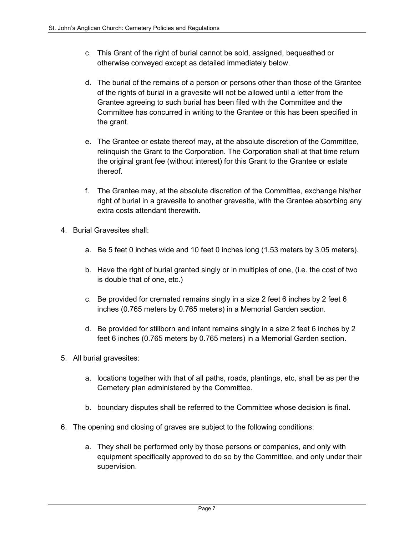- c. This Grant of the right of burial cannot be sold, assigned, bequeathed or otherwise conveyed except as detailed immediately below.
- d. The burial of the remains of a person or persons other than those of the Grantee of the rights of burial in a gravesite will not be allowed until a letter from the Grantee agreeing to such burial has been filed with the Committee and the Committee has concurred in writing to the Grantee or this has been specified in the grant.
- e. The Grantee or estate thereof may, at the absolute discretion of the Committee, relinquish the Grant to the Corporation. The Corporation shall at that time return the original grant fee (without interest) for this Grant to the Grantee or estate thereof.
- f. The Grantee may, at the absolute discretion of the Committee, exchange his/her right of burial in a gravesite to another gravesite, with the Grantee absorbing any extra costs attendant therewith.
- 4. Burial Gravesites shall:
	- a. Be 5 feet 0 inches wide and 10 feet 0 inches long (1.53 meters by 3.05 meters).
	- b. Have the right of burial granted singly or in multiples of one, (i.e. the cost of two is double that of one, etc.)
	- c. Be provided for cremated remains singly in a size 2 feet 6 inches by 2 feet 6 inches (0.765 meters by 0.765 meters) in a Memorial Garden section.
	- d. Be provided for stillborn and infant remains singly in a size 2 feet 6 inches by 2 feet 6 inches (0.765 meters by 0.765 meters) in a Memorial Garden section.
- 5. All burial gravesites:
	- a. locations together with that of all paths, roads, plantings, etc, shall be as per the Cemetery plan administered by the Committee.
	- b. boundary disputes shall be referred to the Committee whose decision is final.
- 6. The opening and closing of graves are subject to the following conditions:
	- a. They shall be performed only by those persons or companies, and only with equipment specifically approved to do so by the Committee, and only under their supervision.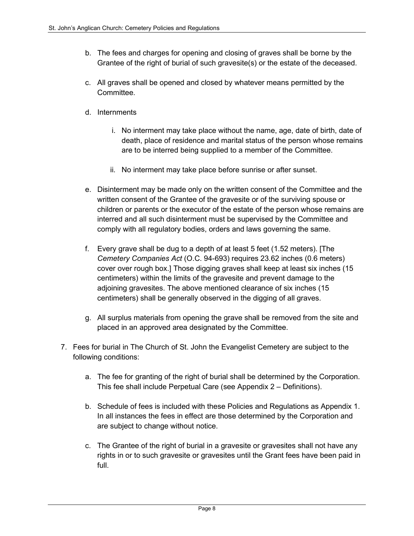- b. The fees and charges for opening and closing of graves shall be borne by the Grantee of the right of burial of such gravesite(s) or the estate of the deceased.
- c. All graves shall be opened and closed by whatever means permitted by the **Committee.**
- d. Internments
	- i. No interment may take place without the name, age, date of birth, date of death, place of residence and marital status of the person whose remains are to be interred being supplied to a member of the Committee.
	- ii. No interment may take place before sunrise or after sunset.
- e. Disinterment may be made only on the written consent of the Committee and the written consent of the Grantee of the gravesite or of the surviving spouse or children or parents or the executor of the estate of the person whose remains are interred and all such disinterment must be supervised by the Committee and comply with all regulatory bodies, orders and laws governing the same.
- f. Every grave shall be dug to a depth of at least 5 feet (1.52 meters). [The Cemetery Companies Act (O.C. 94-693) requires 23.62 inches (0.6 meters) cover over rough box.] Those digging graves shall keep at least six inches (15 centimeters) within the limits of the gravesite and prevent damage to the adjoining gravesites. The above mentioned clearance of six inches (15 centimeters) shall be generally observed in the digging of all graves.
- g. All surplus materials from opening the grave shall be removed from the site and placed in an approved area designated by the Committee.
- 7. Fees for burial in The Church of St. John the Evangelist Cemetery are subject to the following conditions:
	- a. The fee for granting of the right of burial shall be determined by the Corporation. This fee shall include Perpetual Care (see Appendix 2 – Definitions).
	- b. Schedule of fees is included with these Policies and Regulations as Appendix 1. In all instances the fees in effect are those determined by the Corporation and are subject to change without notice.
	- c. The Grantee of the right of burial in a gravesite or gravesites shall not have any rights in or to such gravesite or gravesites until the Grant fees have been paid in full.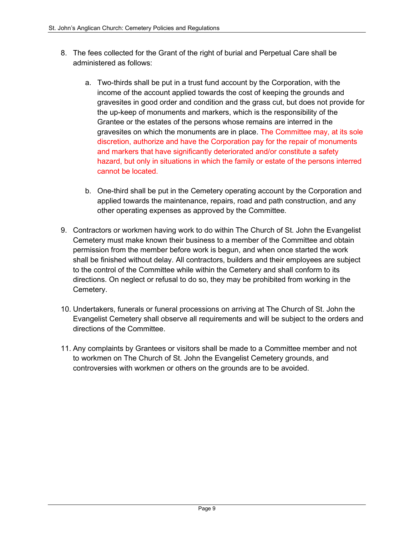- 8. The fees collected for the Grant of the right of burial and Perpetual Care shall be administered as follows:
	- a. Two-thirds shall be put in a trust fund account by the Corporation, with the income of the account applied towards the cost of keeping the grounds and gravesites in good order and condition and the grass cut, but does not provide for the up-keep of monuments and markers, which is the responsibility of the Grantee or the estates of the persons whose remains are interred in the gravesites on which the monuments are in place. The Committee may, at its sole discretion, authorize and have the Corporation pay for the repair of monuments and markers that have significantly deteriorated and/or constitute a safety hazard, but only in situations in which the family or estate of the persons interred cannot be located.
	- b. One-third shall be put in the Cemetery operating account by the Corporation and applied towards the maintenance, repairs, road and path construction, and any other operating expenses as approved by the Committee.
- 9. Contractors or workmen having work to do within The Church of St. John the Evangelist Cemetery must make known their business to a member of the Committee and obtain permission from the member before work is begun, and when once started the work shall be finished without delay. All contractors, builders and their employees are subject to the control of the Committee while within the Cemetery and shall conform to its directions. On neglect or refusal to do so, they may be prohibited from working in the Cemetery.
- 10. Undertakers, funerals or funeral processions on arriving at The Church of St. John the Evangelist Cemetery shall observe all requirements and will be subject to the orders and directions of the Committee.
- 11. Any complaints by Grantees or visitors shall be made to a Committee member and not to workmen on The Church of St. John the Evangelist Cemetery grounds, and controversies with workmen or others on the grounds are to be avoided.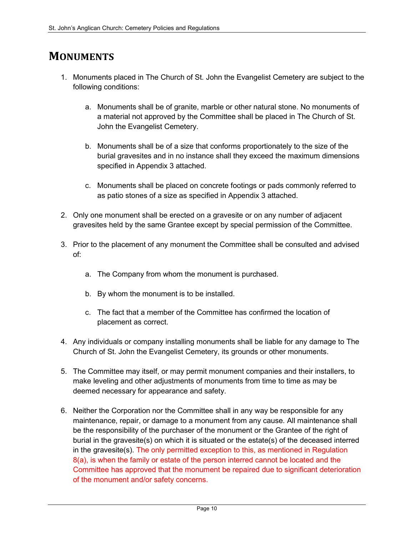## **MONUMENTS**

- 1. Monuments placed in The Church of St. John the Evangelist Cemetery are subject to the following conditions:
	- a. Monuments shall be of granite, marble or other natural stone. No monuments of a material not approved by the Committee shall be placed in The Church of St. John the Evangelist Cemetery.
	- b. Monuments shall be of a size that conforms proportionately to the size of the burial gravesites and in no instance shall they exceed the maximum dimensions specified in Appendix 3 attached.
	- c. Monuments shall be placed on concrete footings or pads commonly referred to as patio stones of a size as specified in Appendix 3 attached.
- 2. Only one monument shall be erected on a gravesite or on any number of adjacent gravesites held by the same Grantee except by special permission of the Committee.
- 3. Prior to the placement of any monument the Committee shall be consulted and advised of:
	- a. The Company from whom the monument is purchased.
	- b. By whom the monument is to be installed.
	- c. The fact that a member of the Committee has confirmed the location of placement as correct.
- 4. Any individuals or company installing monuments shall be liable for any damage to The Church of St. John the Evangelist Cemetery, its grounds or other monuments.
- 5. The Committee may itself, or may permit monument companies and their installers, to make leveling and other adjustments of monuments from time to time as may be deemed necessary for appearance and safety.
- 6. Neither the Corporation nor the Committee shall in any way be responsible for any maintenance, repair, or damage to a monument from any cause. All maintenance shall be the responsibility of the purchaser of the monument or the Grantee of the right of burial in the gravesite(s) on which it is situated or the estate(s) of the deceased interred in the gravesite(s). The only permitted exception to this, as mentioned in Regulation 8(a), is when the family or estate of the person interred cannot be located and the Committee has approved that the monument be repaired due to significant deterioration of the monument and/or safety concerns.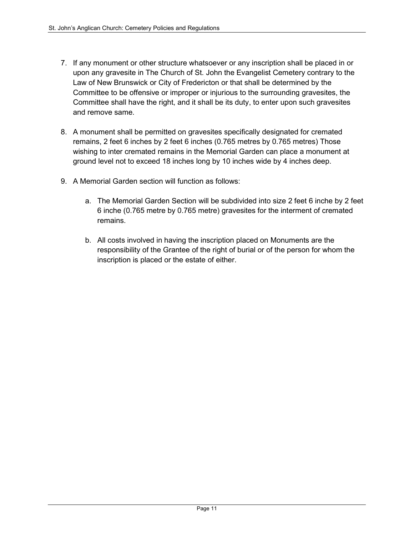- 7. If any monument or other structure whatsoever or any inscription shall be placed in or upon any gravesite in The Church of St. John the Evangelist Cemetery contrary to the Law of New Brunswick or City of Fredericton or that shall be determined by the Committee to be offensive or improper or injurious to the surrounding gravesites, the Committee shall have the right, and it shall be its duty, to enter upon such gravesites and remove same.
- 8. A monument shall be permitted on gravesites specifically designated for cremated remains, 2 feet 6 inches by 2 feet 6 inches (0.765 metres by 0.765 metres) Those wishing to inter cremated remains in the Memorial Garden can place a monument at ground level not to exceed 18 inches long by 10 inches wide by 4 inches deep.
- 9. A Memorial Garden section will function as follows:
	- a. The Memorial Garden Section will be subdivided into size 2 feet 6 inche by 2 feet 6 inche (0.765 metre by 0.765 metre) gravesites for the interment of cremated remains.
	- b. All costs involved in having the inscription placed on Monuments are the responsibility of the Grantee of the right of burial or of the person for whom the inscription is placed or the estate of either.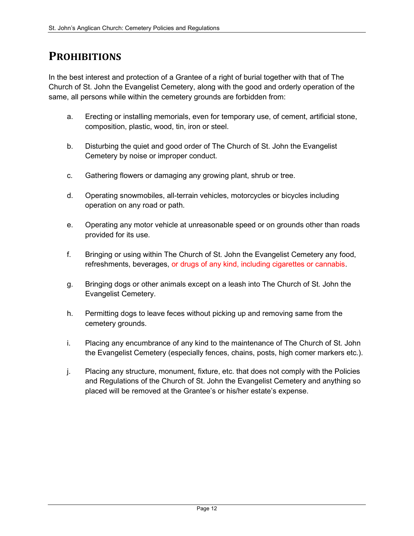## **PROHIBITIONS**

In the best interest and protection of a Grantee of a right of burial together with that of The Church of St. John the Evangelist Cemetery, along with the good and orderly operation of the same, all persons while within the cemetery grounds are forbidden from:

- a. Erecting or installing memorials, even for temporary use, of cement, artificial stone, composition, plastic, wood, tin, iron or steel.
- b. Disturbing the quiet and good order of The Church of St. John the Evangelist Cemetery by noise or improper conduct.
- c. Gathering flowers or damaging any growing plant, shrub or tree.
- d. Operating snowmobiles, all-terrain vehicles, motorcycles or bicycles including operation on any road or path.
- e. Operating any motor vehicle at unreasonable speed or on grounds other than roads provided for its use.
- f. Bringing or using within The Church of St. John the Evangelist Cemetery any food, refreshments, beverages, or drugs of any kind, including cigarettes or cannabis.
- g. Bringing dogs or other animals except on a leash into The Church of St. John the Evangelist Cemetery.
- h. Permitting dogs to leave feces without picking up and removing same from the cemetery grounds.
- i. Placing any encumbrance of any kind to the maintenance of The Church of St. John the Evangelist Cemetery (especially fences, chains, posts, high comer markers etc.).
- j. Placing any structure, monument, fixture, etc. that does not comply with the Policies and Regulations of the Church of St. John the Evangelist Cemetery and anything so placed will be removed at the Grantee's or his/her estate's expense.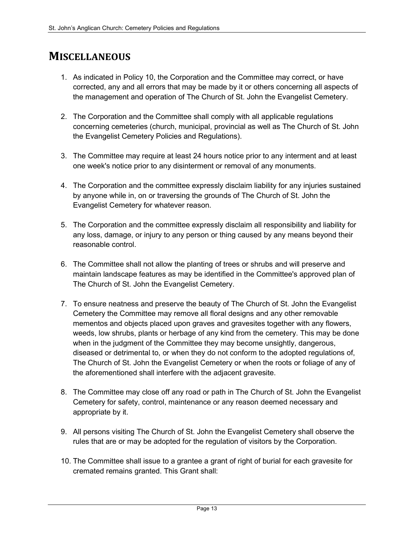## **MISCELLANEOUS**

- 1. As indicated in Policy 10, the Corporation and the Committee may correct, or have corrected, any and all errors that may be made by it or others concerning all aspects of the management and operation of The Church of St. John the Evangelist Cemetery.
- 2. The Corporation and the Committee shall comply with all applicable regulations concerning cemeteries (church, municipal, provincial as well as The Church of St. John the Evangelist Cemetery Policies and Regulations).
- 3. The Committee may require at least 24 hours notice prior to any interment and at least one week's notice prior to any disinterment or removal of any monuments.
- 4. The Corporation and the committee expressly disclaim liability for any injuries sustained by anyone while in, on or traversing the grounds of The Church of St. John the Evangelist Cemetery for whatever reason.
- 5. The Corporation and the committee expressly disclaim all responsibility and liability for any loss, damage, or injury to any person or thing caused by any means beyond their reasonable control.
- 6. The Committee shall not allow the planting of trees or shrubs and will preserve and maintain landscape features as may be identified in the Committee's approved plan of The Church of St. John the Evangelist Cemetery.
- 7. To ensure neatness and preserve the beauty of The Church of St. John the Evangelist Cemetery the Committee may remove all floral designs and any other removable mementos and objects placed upon graves and gravesites together with any flowers, weeds, low shrubs, plants or herbage of any kind from the cemetery. This may be done when in the judgment of the Committee they may become unsightly, dangerous, diseased or detrimental to, or when they do not conform to the adopted regulations of, The Church of St. John the Evangelist Cemetery or when the roots or foliage of any of the aforementioned shall interfere with the adjacent gravesite.
- 8. The Committee may close off any road or path in The Church of St. John the Evangelist Cemetery for safety, control, maintenance or any reason deemed necessary and appropriate by it.
- 9. All persons visiting The Church of St. John the Evangelist Cemetery shall observe the rules that are or may be adopted for the regulation of visitors by the Corporation.
- 10. The Committee shall issue to a grantee a grant of right of burial for each gravesite for cremated remains granted. This Grant shall: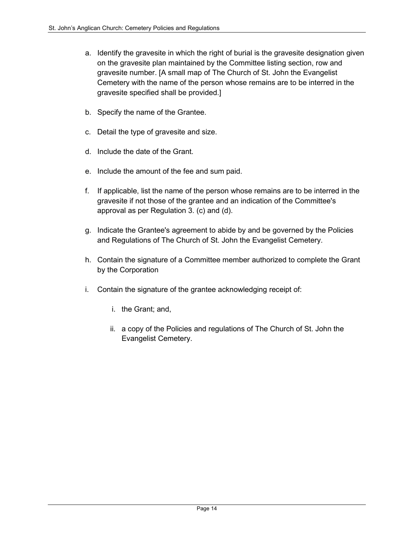- a. Identify the gravesite in which the right of burial is the gravesite designation given on the gravesite plan maintained by the Committee listing section, row and gravesite number. [A small map of The Church of St. John the Evangelist Cemetery with the name of the person whose remains are to be interred in the gravesite specified shall be provided.]
- b. Specify the name of the Grantee.
- c. Detail the type of gravesite and size.
- d. Include the date of the Grant.
- e. Include the amount of the fee and sum paid.
- f. If applicable, list the name of the person whose remains are to be interred in the gravesite if not those of the grantee and an indication of the Committee's approval as per Regulation 3. (c) and (d).
- g. Indicate the Grantee's agreement to abide by and be governed by the Policies and Regulations of The Church of St. John the Evangelist Cemetery.
- h. Contain the signature of a Committee member authorized to complete the Grant by the Corporation
- i. Contain the signature of the grantee acknowledging receipt of:
	- i. the Grant; and,
	- ii. a copy of the Policies and regulations of The Church of St. John the Evangelist Cemetery.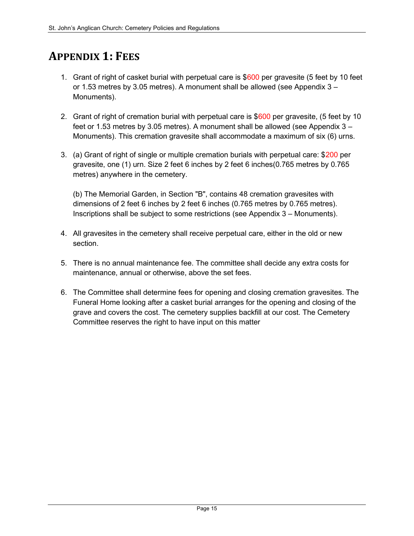# APPENDIX 1: FEES

- 1. Grant of right of casket burial with perpetual care is \$600 per gravesite (5 feet by 10 feet or 1.53 metres by 3.05 metres). A monument shall be allowed (see Appendix 3 – Monuments).
- 2. Grant of right of cremation burial with perpetual care is \$600 per gravesite, (5 feet by 10 feet or 1.53 metres by 3.05 metres). A monument shall be allowed (see Appendix 3 – Monuments). This cremation gravesite shall accommodate a maximum of six (6) urns.
- 3. (a) Grant of right of single or multiple cremation burials with perpetual care: \$200 per gravesite, one (1) urn. Size 2 feet 6 inches by 2 feet 6 inches(0.765 metres by 0.765 metres) anywhere in the cemetery.

(b) The Memorial Garden, in Section "B", contains 48 cremation gravesites with dimensions of 2 feet 6 inches by 2 feet 6 inches (0.765 metres by 0.765 metres). Inscriptions shall be subject to some restrictions (see Appendix 3 – Monuments).

- 4. All gravesites in the cemetery shall receive perpetual care, either in the old or new section.
- 5. There is no annual maintenance fee. The committee shall decide any extra costs for maintenance, annual or otherwise, above the set fees.
- 6. The Committee shall determine fees for opening and closing cremation gravesites. The Funeral Home looking after a casket burial arranges for the opening and closing of the grave and covers the cost. The cemetery supplies backfill at our cost. The Cemetery Committee reserves the right to have input on this matter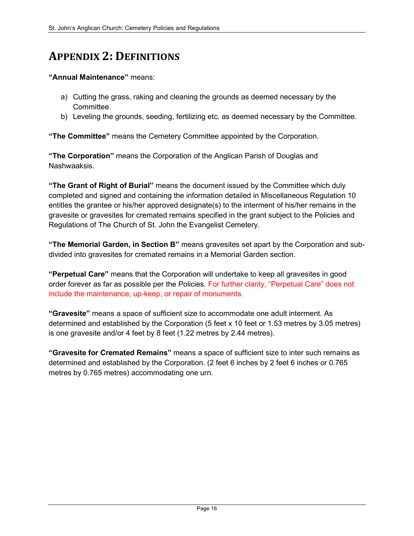# APPENDIX 2: DEFINITIONS

#### "Annual Maintenance" means:

- a) Cutting the grass, raking and cleaning the grounds as deemed necessary by the Committee.
- b) Leveling the grounds, seeding, fertilizing etc. as deemed necessary by the Committee.

"The Committee" means the Cemetery Committee appointed by the Corporation.

"The Corporation" means the Corporation of the Anglican Parish of Douglas and Nashwaaksis.

"The Grant of Right of Burial" means the document issued by the Committee which duly completed and signed and containing the information detailed in Miscellaneous Regulation 10 entitles the grantee or his/her approved designate(s) to the interment of his/her remains in the gravesite or gravesites for cremated remains specified in the grant subject to the Policies and Regulations of The Church of St. John the Evangelist Cemetery.

"The Memorial Garden, in Section B" means gravesites set apart by the Corporation and subdivided into gravesites for cremated remains in a Memorial Garden section.

"Perpetual Care" means that the Corporation will undertake to keep all gravesites in good order forever as far as possible per the Policies. For further clarity, "Perpetual Care" does not include the maintenance, up-keep, or repair of monuments.

"Gravesite" means a space of sufficient size to accommodate one adult interment. As determined and established by the Corporation (5 feet x 10 feet or 1.53 metres by 3.05 metres) is one gravesite and/or 4 feet by 8 feet (1.22 metres by 2.44 metres).

"Gravesite for Cremated Remains" means a space of sufficient size to inter such remains as determined and established by the Corporation. (2 feet 6 inches by 2 feet 6 inches or 0.765 metres by 0.765 metres) accommodating one urn.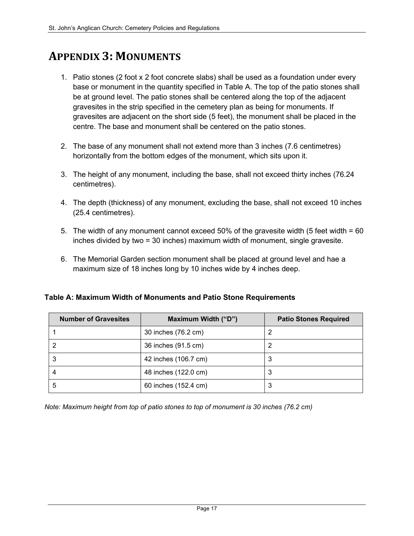# APPENDIX 3: MONUMENTS

- 1. Patio stones (2 foot x 2 foot concrete slabs) shall be used as a foundation under every base or monument in the quantity specified in Table A. The top of the patio stones shall be at ground level. The patio stones shall be centered along the top of the adjacent gravesites in the strip specified in the cemetery plan as being for monuments. If gravesites are adjacent on the short side (5 feet), the monument shall be placed in the centre. The base and monument shall be centered on the patio stones.
- 2. The base of any monument shall not extend more than 3 inches (7.6 centimetres) horizontally from the bottom edges of the monument, which sits upon it.
- 3. The height of any monument, including the base, shall not exceed thirty inches (76.24 centimetres).
- 4. The depth (thickness) of any monument, excluding the base, shall not exceed 10 inches (25.4 centimetres).
- 5. The width of any monument cannot exceed 50% of the gravesite width (5 feet width = 60 inches divided by two = 30 inches) maximum width of monument, single gravesite.
- 6. The Memorial Garden section monument shall be placed at ground level and hae a maximum size of 18 inches long by 10 inches wide by 4 inches deep.

Table A: Maximum Width of Monuments and Patio Stone Requirements

| <b>Number of Gravesites</b> | Maximum Width ("D")  | <b>Patio Stones Required</b> |
|-----------------------------|----------------------|------------------------------|
|                             | 30 inches (76.2 cm)  |                              |
|                             | 36 inches (91.5 cm)  |                              |
|                             | 42 inches (106.7 cm) | 3                            |
|                             | 48 inches (122.0 cm) | 3                            |
|                             | 60 inches (152.4 cm) | 3                            |

Note: Maximum height from top of patio stones to top of monument is 30 inches (76.2 cm)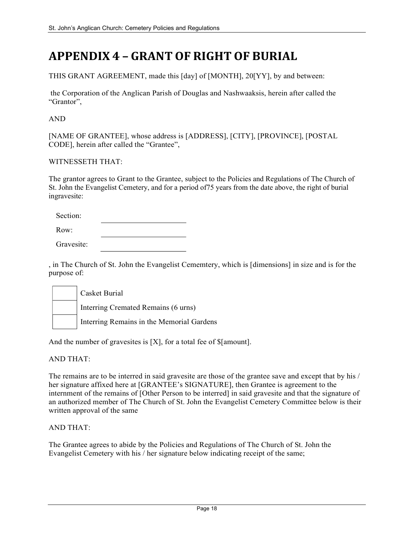# APPENDIX 4 – GRANT OF RIGHT OF BURIAL

THIS GRANT AGREEMENT, made this [day] of [MONTH], 20[YY], by and between:

 the Corporation of the Anglican Parish of Douglas and Nashwaaksis, herein after called the "Grantor",

AND

[NAME OF GRANTEE], whose address is [ADDRESS], [CITY], [PROVINCE], [POSTAL CODE], herein after called the "Grantee",

#### WITNESSETH THAT:

The grantor agrees to Grant to the Grantee, subject to the Policies and Regulations of The Church of St. John the Evangelist Cemetery, and for a period of75 years from the date above, the right of burial ingravesite:

Row:

Gravesite:

, in The Church of St. John the Evangelist Cememtery, which is [dimensions] in size and is for the purpose of:

|  | Casket Burial                             |
|--|-------------------------------------------|
|  | Interring Cremated Remains (6 urns)       |
|  | Interring Remains in the Memorial Gardens |

And the number of gravesites is [X], for a total fee of \$[amount].

#### AND THAT:

The remains are to be interred in said gravesite are those of the grantee save and except that by his / her signature affixed here at [GRANTEE's SIGNATURE], then Grantee is agreement to the internment of the remains of [Other Person to be interred] in said gravesite and that the signature of an authorized member of The Church of St. John the Evangelist Cemetery Committee below is their written approval of the same

#### AND THAT:

The Grantee agrees to abide by the Policies and Regulations of The Church of St. John the Evangelist Cemetery with his / her signature below indicating receipt of the same;